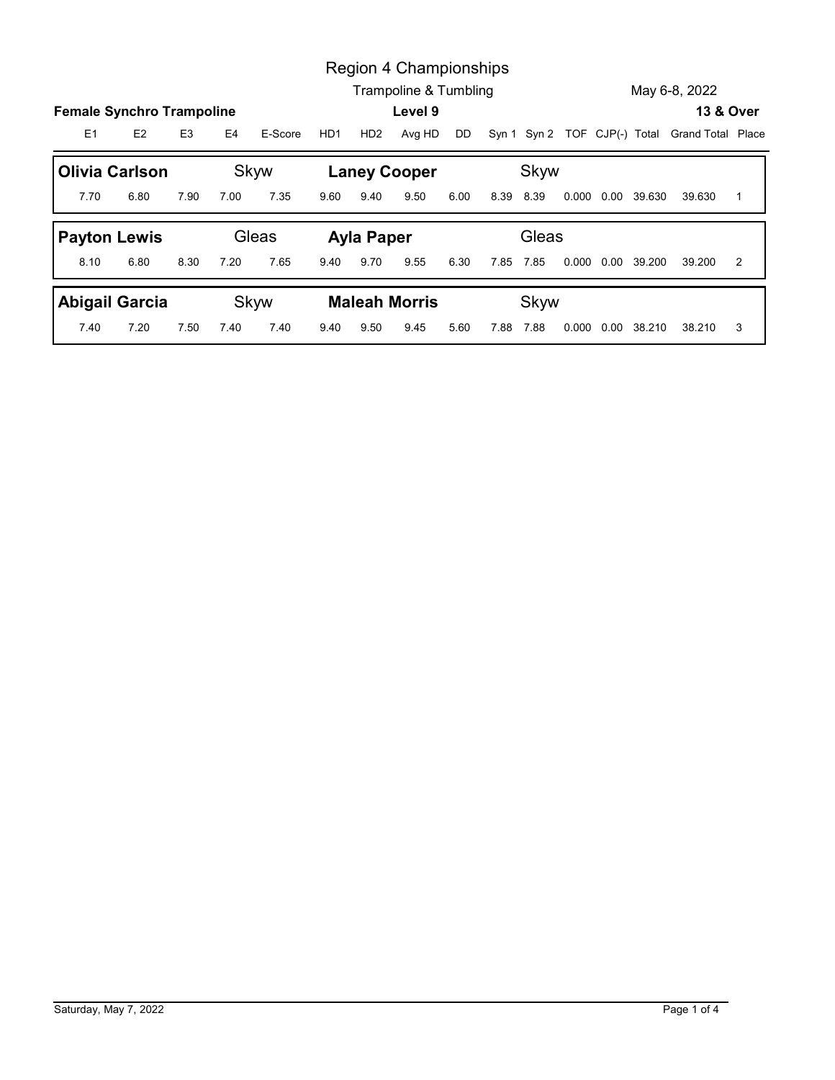|                |                                                    |                |      |              |      | Region 4 Championships      |            |      |           |                                                |                     |               |                |
|----------------|----------------------------------------------------|----------------|------|--------------|------|-----------------------------|------------|------|-----------|------------------------------------------------|---------------------|---------------|----------------|
|                |                                                    |                |      |              |      | Trampoline & Tumbling       |            |      |           |                                                |                     | May 6-8, 2022 |                |
| E <sub>1</sub> | <b>Female Synchro Trampoline</b><br>E <sub>2</sub> | E <sub>3</sub> | E4   | E-Score      | HD1  |                             | Level 9    | DD   |           |                                                |                     |               | 13 & Over      |
|                |                                                    |                |      |              |      |                             | HD2 Avg HD |      |           | Syn 1 Syn 2 TOF CJP(-) Total Grand Total Place |                     |               |                |
| 7.70           | <b>Olivia Carlson</b><br>6.80                      | 7.90           | 7.00 | Skyw<br>7.35 | 9.60 | <b>Laney Cooper</b><br>9.40 | 9.50       | 6.00 | 8.39 8.39 | Skyw                                           | 0.000 0.00 39.630   | 39.630        | $\overline{1}$ |
|                |                                                    |                |      | Gleas        |      |                             |            |      |           | Gleas                                          |                     |               |                |
| 8.10           | <b>Payton Lewis</b><br>6.80                        | 8.30           | 7.20 | 7.65         | 9.40 | <b>Ayla Paper</b><br>9.70   | 9.55       | 6.30 | 7.85 7.85 |                                                | 0.000  0.00  39.200 | 39.200        | 2              |
|                | <b>Abigail Garcia</b>                              |                |      | Skyw         |      | <b>Maleah Morris</b>        |            |      |           | Skyw                                           |                     |               |                |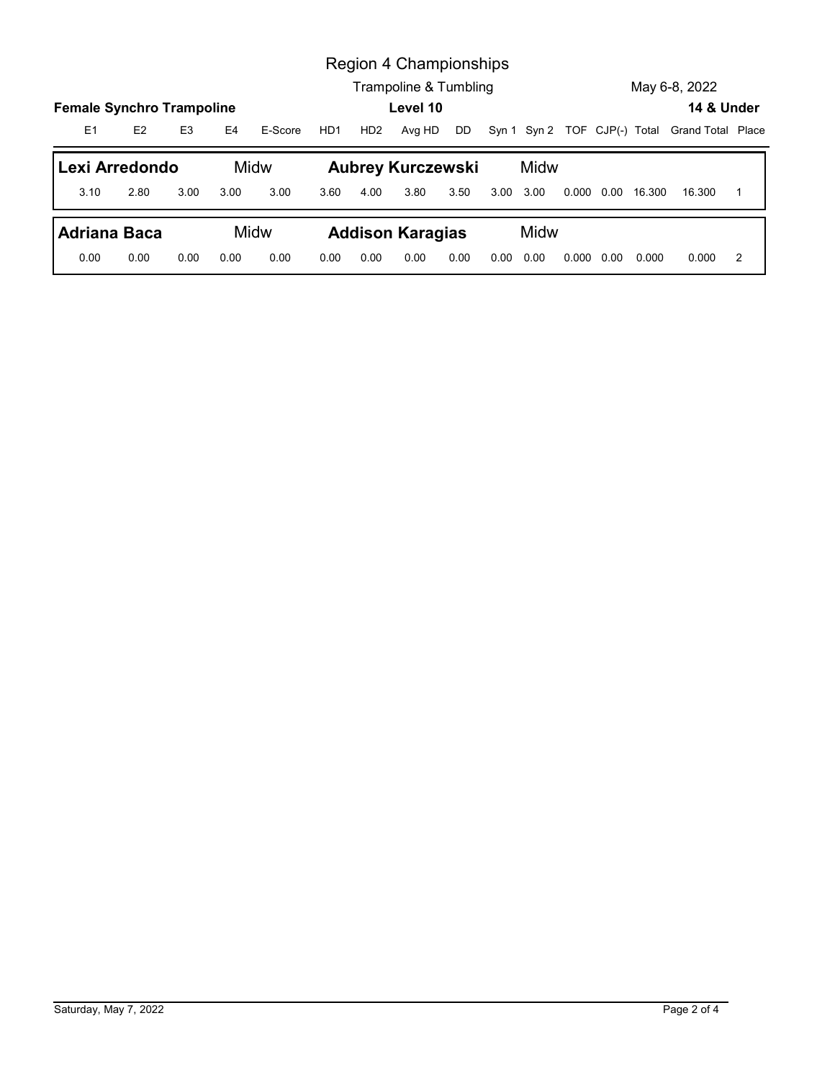|                                                         |      |                |      |              |      |                 | Region 4 Championships<br>Trampoline & Tumbling |      |           |      |  |                     | May 6-8, 2022                                  |                |
|---------------------------------------------------------|------|----------------|------|--------------|------|-----------------|-------------------------------------------------|------|-----------|------|--|---------------------|------------------------------------------------|----------------|
|                                                         |      |                |      |              |      |                 | Level 10                                        |      |           |      |  |                     | 14 & Under                                     |                |
| E1                                                      | E2   | E <sub>3</sub> | E4   | E-Score      | HD1  | HD <sub>2</sub> | Avg HD                                          | DD   |           |      |  |                     | Syn 1 Syn 2 TOF CJP(-) Total Grand Total Place |                |
|                                                         |      |                |      |              |      |                 |                                                 |      |           |      |  |                     |                                                |                |
| Lexi Arredondo<br>3.10                                  | 2.80 | 3.00           | 3.00 | Midw<br>3.00 | 3.60 | 4.00            | <b>Aubrey Kurczewski</b><br>3.80                | 3.50 | 3.00 3.00 | Midw |  | 0.000  0.00  16.300 | 16.300                                         | $\overline{1}$ |
| <b>Female Synchro Trampoline</b><br><b>Adriana Baca</b> |      |                |      | Midw         |      |                 | <b>Addison Karagias</b>                         |      |           | Midw |  |                     |                                                |                |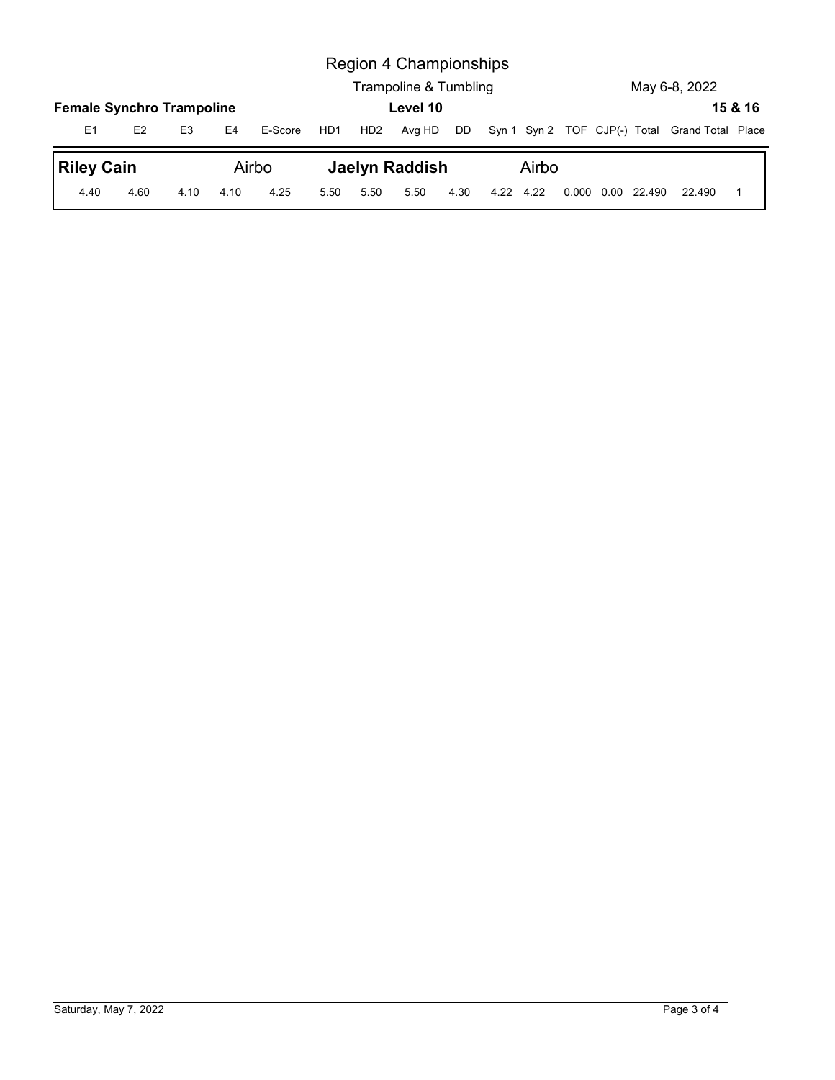|                                  |                |                |                |                  |     |                 | Region 4 Championships<br>Trampoline & Tumbling |    |       |  | May 6-8, 2022                                  |         |
|----------------------------------|----------------|----------------|----------------|------------------|-----|-----------------|-------------------------------------------------|----|-------|--|------------------------------------------------|---------|
| <b>Female Synchro Trampoline</b> |                |                |                |                  |     |                 | Level 10                                        |    |       |  |                                                | 15 & 16 |
| E1<br><b>Riley Cain</b>          | E <sub>2</sub> | E <sub>3</sub> | E <sub>4</sub> | E-Score<br>Airbo | HD1 | HD <sub>2</sub> | Avg HD<br><b>Jaelyn Raddish</b>                 | DD | Airbo |  | Syn 1 Syn 2 TOF CJP(-) Total Grand Total Place |         |